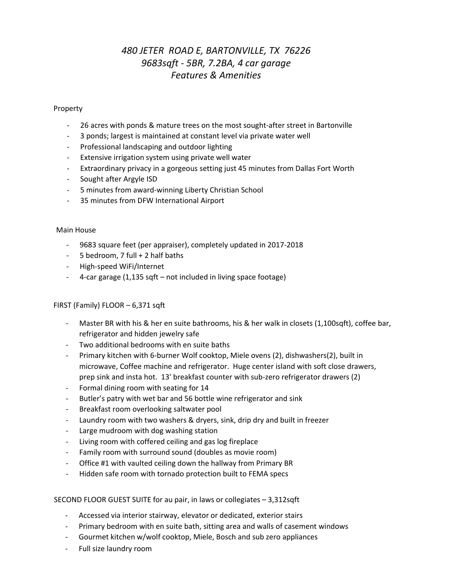# *480 JETER ROAD E, BARTONVILLE, TX 76226 9683sqft - 5BR, 7.2BA, 4 car garage Features & Amenities*

## Property

- 26 acres with ponds & mature trees on the most sought-after street in Bartonville
- 3 ponds; largest is maintained at constant level via private water well
- Professional landscaping and outdoor lighting
- Extensive irrigation system using private well water
- Extraordinary privacy in a gorgeous setting just 45 minutes from Dallas Fort Worth
- Sought after Argyle ISD
- 5 minutes from award-winning Liberty Christian School
- 35 minutes from DFW International Airport

#### Main House

- 9683 square feet (per appraiser), completely updated in 2017-2018
- 5 bedroom, 7 full + 2 half baths
- High-speed WiFi/Internet
- 4-car garage (1,135 sqft not included in living space footage)

#### FIRST (Family) FLOOR – 6,371 sqft

- Master BR with his & her en suite bathrooms, his & her walk in closets (1,100sqft), coffee bar, refrigerator and hidden jewelry safe
- Two additional bedrooms with en suite baths
- Primary kitchen with 6-burner Wolf cooktop, Miele ovens (2), dishwashers(2), built in microwave, Coffee machine and refrigerator. Huge center island with soft close drawers, prep sink and insta hot. 13' breakfast counter with sub-zero refrigerator drawers (2)
- Formal dining room with seating for 14
- Butler's patry with wet bar and 56 bottle wine refrigerator and sink
- Breakfast room overlooking saltwater pool
- Laundry room with two washers & dryers, sink, drip dry and built in freezer
- Large mudroom with dog washing station
- Living room with coffered ceiling and gas log fireplace
- Family room with surround sound (doubles as movie room)
- Office #1 with vaulted ceiling down the hallway from Primary BR
- Hidden safe room with tornado protection built to FEMA specs

#### SECOND FLOOR GUEST SUITE for au pair, in laws or collegiates – 3,312sqft

- Accessed via interior stairway, elevator or dedicated, exterior stairs
- Primary bedroom with en suite bath, sitting area and walls of casement windows
- Gourmet kitchen w/wolf cooktop, Miele, Bosch and sub zero appliances
- Full size laundry room